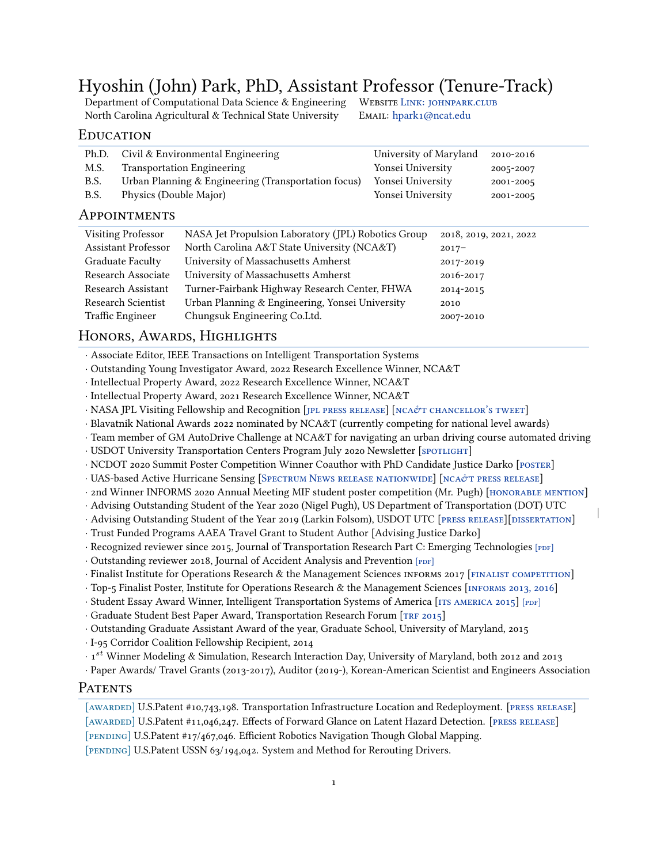# Hyoshin (John) Park, PhD, Assistant Professor (Tenure-Track)

Department of Computational Data Science & Engineering WEBSITE LINK: JOHNPARK.CLUB North Carolina Agricultural & Technical State University EMAIL: [hpark1@ncat.edu](mailto:hpark1@ncat.edu)

|

## **EDUCATION**

| Ph.D.        | Civil & Environmental Engineering                   | University of Maryland | 2010-2016 |
|--------------|-----------------------------------------------------|------------------------|-----------|
| M.S.         | <b>Transportation Engineering</b>                   | Yonsei University      | 2005-2007 |
| B.S.         | Urban Planning & Engineering (Transportation focus) | Yonsei University      | 2001-2005 |
| B.S.         | Physics (Double Major)                              | Yonsei University      | 2001-2005 |
| APPOINTMENTS |                                                     |                        |           |

## Visiting Professor NASA Jet Propulsion Laboratory (JPL) Robotics Group 2018, 2019, 2021, 2022 Assistant Professor North Carolina A&T State University (NCA&T) 2017– Graduate Faculty University of Massachusetts Amherst 2017-2019 Research Associate University of Massachusetts Amherst 2016-2017 Research Assistant Turner-Fairbank Highway Research Center, FHWA 2014-2015 Research Scientist Urban Planning & Engineering, Yonsei University 2010 Traffic Engineer Chungsuk Engineering Co.Ltd. 2007-2010

## HONORS, AWARDS, HIGHLIGHTS

*·* Associate Editor, IEEE Transactions on Intelligent Transportation Systems

*·* Outstanding Young Investigator Award, 2022 Research Excellence Winner, NCA&T

*·* Intellectual Property Award, 2022 Research Excellence Winner, NCA&T

*·* Intellectual Property Award, 2021 Research Excellence Winner, NCA&T

*·*NASA JPL Visiting Fellowship and Recognition [JPL PRESS RELEASE] [NCA&T CHANCELLOR'S TWEET]

- *·* Blavatnik National Awards 2022 nominated by NCA&T (currently competing for national level awards)
- *·* Team member of GM AutoDrive Challenge at NCA&T for navigating an urban driving course automated driving

*·*USDOT University Transportation Centers Program July 2020 Newsletter [SPOTLIGHT]

- *·* NCDOT 2020 Summit Poster Competition Winner Coauthor with PhD Candidate Justice Darko [\[posteR](https://johnpark.club/2020/11/20/darko-wins-ncdot-summit-poster-competition/)]
- *·* UAS-based Active Hurricane Sensing [SPECTRUM NEWS RELEASE NATIONWIDE] [NCA&T PRESS RELEASE]

*·*2nd Winner INFORMS 2020 Annual Meeting MIF student poster competition (Mr. Pugh) [HONORABLE MENTION]

- *·* Advising Outstanding Student of the Year 2020 (Nigel Pugh), US Department of Transportation (DOT) UTC
- *·*Advising Outstanding Student of the Year 2019 (Larkin Folsom), USDOT UTC [PRESS RELEASE][DISSERTATION]
- *·* Trust Funded Programs AAEA Travel Grant to Student Author [Advising Justice Darko]
- *·* Recognized reviewer since 2015, Journal of Transportation Research Part C: Emerging Technologies [PDF]
- *·* Outstanding reviewer 2018, Journal of Accident Analysis and Prevention [PDF]
- *·*Finalist Institute for Operations Research & the Management Sciences INFORMS 2017 [FINALIST COMPETITION]
- *·* Top-5 Finalist Poster, Institute for Operations Research & the Management Sciences [\[infoRms 2013, 2016](http://www.abstractsonline.com/pp8/#!/4182/session/1821)]
- *·* Student Essay Award Winner, Intelligent Transportation Systems of America [ITS AMERICA 2015] [PDF]

*·*Graduate Student Best Paper Award, Transportation Research Forum [TRF 2015]

*·* Outstanding Graduate Assistant Award of the year, Graduate School, University of Maryland, 2015

*·* I-95 Corridor Coalition Fellowship Recipient, 2014

*·* 1 *st* Winner Modeling & Simulation, Research Interaction Day, University of Maryland, both 2012 and 2013

*·* Paper Awards/ Travel Grants (2013-2017), Auditor (2019-), Korean-American Scientist and Engineers Association

## PATENTS

#### [AWARDED]U.S.Patent #10,743,198. Transportation Infrastructure Location and Redeployment. [PRESS RELEASE]

[AWARDED]U.S.Patent #11,046,247. Effects of Forward Glance on Latent Hazard Detection. [PRESS RELEASE]

[pending] U.S.Patent #17/467,046. Efficient Robotics Navigation Though Global Mapping.

[pending] U.S.Patent USSN 63/194,042. System and Method for Rerouting Drivers.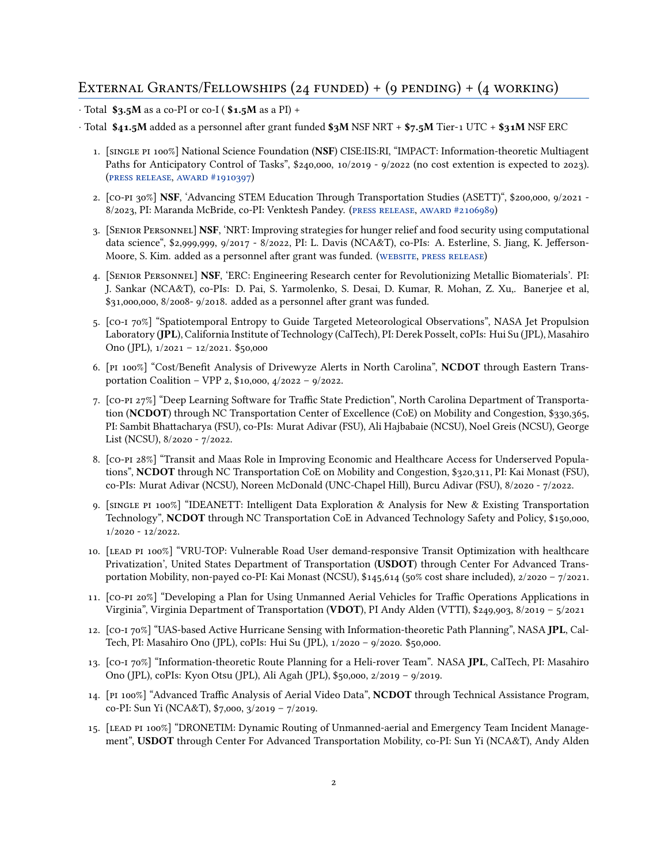## EXTERNAL GRANTS/FELLOWSHIPS  $(24 \text{ FUNDED}) + (9 \text{ PENDING}) + (4 \text{ WORKING})$

- *·* Total **\$3.5M** as a co-PI or co-I ( **\$1.5M** as a PI) +
- *·* Total **\$41.5M** added as a personnel after grant funded **\$3M** NSF NRT + **\$7.5M** Tier-1 UTC + **\$31M** NSF ERC
	- 1. [single pi 100%] National Science Foundation (**NSF**) CISE:IIS:RI, "IMPACT: Information-theoretic Multiagent Paths for Anticipatory Control of Tasks", \$240,000, 10/2019 - 9/2022 (no cost extention is expected to 2023). ([pRess Release](https://ncatresearch.org/2019/10/17/information-gained-at-ground-level/?fbclid=IwAR2tiy4XBIQSGZ4-WmO3nxPUuVtcflpCplf-SJCQDf35PWi6fo3Epv0B18Q), [awaRd #1910397](https://www.nsf.gov/awardsearch/showAward?AWD_ID=1910397&HistoricalAwards=false))
	- 2. [co-pi 30%] **NSF**, 'Advancing STEM Education Through Transportation Studies (ASETT)", \$200,000, 9/2021 8/2023, PI: Maranda McBride, co-PI: Venktesh Pandey.([pRess Release](https://www.yesweekly.com/education/n-c-a-t-awarded-200k-nsf-grant-to-establish-digital-badge-program-advance-stem/article_55af18f0-279b-11ec-b07b-0762d082ff94.html?utm_medium=social&utm_source=facebook&utm_campaign=user-share&fbclid=IwAR3MP0skZXV8ZY91ZhFNyXqnTBWdCyQ6Lgd2karLyTcdIQN_Hpb7d0AAdm4), [awaRd #2106989](https://www.nsf.gov/awardsearch/showAward?AWD_ID=2106989&HistoricalAwards=false))
	- 3. [SenioR PeRsonnel] **NSF**, 'NRT: Improving strategies for hunger relief and food security using computational data science", \$2,999,999, 9/2017 - 8/2022, PI: L. Davis (NCA&T), co-PIs: A. Esterline, S. Jiang, K. Jefferson-Moore,S. Kim. added as a personnel after grant was funded. (WEBSITE, PRESS RELEASE)
	- 4. [SenioR PeRsonnel] **NSF**, 'ERC: Engineering Research center for Revolutionizing Metallic Biomaterials'. PI: J. Sankar (NCA&T), co-PIs: D. Pai, S. Yarmolenko, S. Desai, D. Kumar, R. Mohan, Z. Xu,. Banerjee et al, \$31,000,000, 8/2008- 9/2018. added as a personnel after grant was funded.
	- 5. [co-i 70%] "Spatiotemporal Entropy to Guide Targeted Meteorological Observations", NASA Jet Propulsion Laboratory (**JPL**), California Institute of Technology (CalTech), PI: Derek Posselt, coPIs: Hui Su (JPL), Masahiro Ono (JPL), 1/2021 – 12/2021. \$50,000
	- 6. [pi 100%] "Cost/Benefit Analysis of Drivewyze Alerts in North Carolina", **NCDOT** through Eastern Transportation Coalition – VPP 2, \$10,000, 4/2022 – 9/2022.
	- 7. [co-pi 27%] "Deep Learning Software for Traffic State Prediction", North Carolina Department of Transportation (**NCDOT**) through NC Transportation Center of Excellence (CoE) on Mobility and Congestion, \$330,365, PI: Sambit Bhattacharya (FSU), co-PIs: Murat Adivar (FSU), Ali Hajbabaie (NCSU), Noel Greis (NCSU), George List (NCSU), 8/2020 - 7/2022.
	- 8. [co-pi 28%] "Transit and Maas Role in Improving Economic and Healthcare Access for Underserved Populations", **NCDOT** through NC Transportation CoE on Mobility and Congestion, \$320,311, PI: Kai Monast (FSU), co-PIs: Murat Adivar (NCSU), Noreen McDonald (UNC-Chapel Hill), Burcu Adivar (FSU), 8/2020 - 7/2022.
	- 9. [single pi 100%] "IDEANETT: Intelligent Data Exploration & Analysis for New & Existing Transportation Technology", **NCDOT** through NC Transportation CoE in Advanced Technology Safety and Policy, \$150,000, 1/2020 - 12/2022.
	- 10. [lead pi 100%] "VRU-TOP: Vulnerable Road User demand-responsive Transit Optimization with healthcare Privatization', United States Department of Transportation (**USDOT**) through Center For Advanced Transportation Mobility, non-payed co-PI: Kai Monast (NCSU), \$145,614 (50% cost share included), 2/2020 – 7/2021.
	- 11. [co-pi 20%] "Developing a Plan for Using Unmanned Aerial Vehicles for Traffic Operations Applications in Virginia", Virginia Department of Transportation (**VDOT**), PI Andy Alden (VTTI), \$249,903, 8/2019 – 5/2021
	- 12. [co-i 70%] "UAS-based Active Hurricane Sensing with Information-theoretic Path Planning", NASA **JPL**, Cal-Tech, PI: Masahiro Ono (JPL), coPIs: Hui Su (JPL), 1/2020 – 9/2020. \$50,000.
	- 13. [co-i 70%] "Information-theoretic Route Planning for a Heli-rover Team". NASA **JPL**, CalTech, PI: Masahiro Ono (JPL), coPIs: Kyon Otsu (JPL), Ali Agah (JPL), \$50,000, 2/2019 – 9/2019.
	- 14. [pi 100%] "Advanced Traffic Analysis of Aerial Video Data", **NCDOT** through Technical Assistance Program, co-PI: Sun Yi (NCA&T), \$7,000, 3/2019 – 7/2019.
	- 15. [lead pi 100%] "DRONETIM: Dynamic Routing of Unmanned-aerial and Emergency Team Incident Management", **USDOT** through Center For Advanced Transportation Mobility, co-PI: Sun Yi (NCA&T), Andy Alden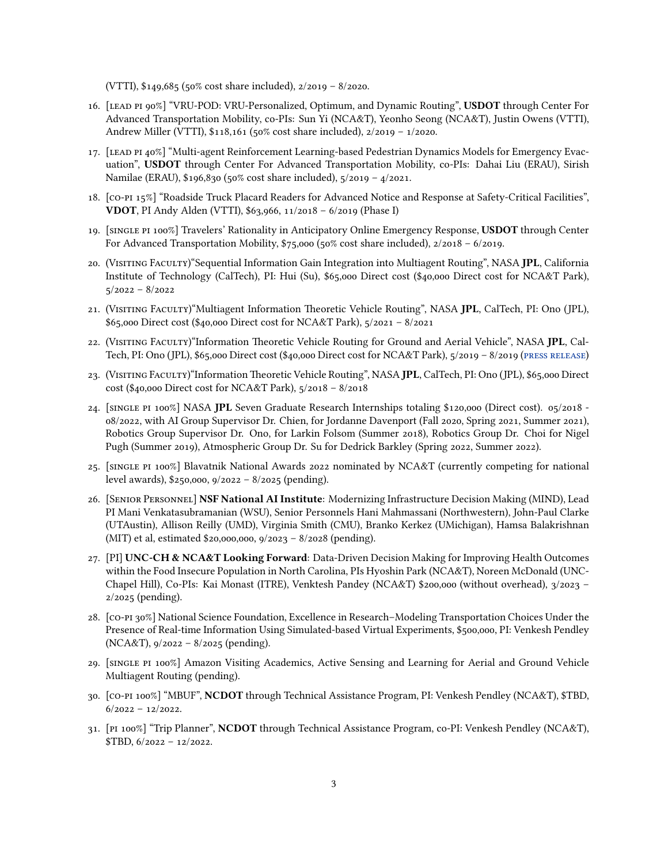(VTTI), \$149,685 (50% cost share included), 2/2019 – 8/2020.

- 16. [lead pi 90%] "VRU-POD: VRU-Personalized, Optimum, and Dynamic Routing", **USDOT** through Center For Advanced Transportation Mobility, co-PIs: Sun Yi (NCA&T), Yeonho Seong (NCA&T), Justin Owens (VTTI), Andrew Miller (VTTI), \$118,161 (50% cost share included), 2/2019 – 1/2020.
- 17. [lead pi 40%] "Multi-agent Reinforcement Learning-based Pedestrian Dynamics Models for Emergency Evacuation", **USDOT** through Center For Advanced Transportation Mobility, co-PIs: Dahai Liu (ERAU), Sirish Namilae (ERAU), \$196,830 (50% cost share included), 5/2019 – 4/2021.
- 18. [co-pi 15%] "Roadside Truck Placard Readers for Advanced Notice and Response at Safety-Critical Facilities", **VDOT**, PI Andy Alden (VTTI), \$63,966, 11/2018 – 6/2019 (Phase I)
- 19. [single pi 100%] Travelers' Rationality in Anticipatory Online Emergency Response, **USDOT** through Center For Advanced Transportation Mobility, \$75,000 (50% cost share included), 2/2018 – 6/2019.
- 20. (Visiting Faculty)"Sequential Information Gain Integration into Multiagent Routing", NASA **JPL**, California Institute of Technology (CalTech), PI: Hui (Su), \$65,000 Direct cost (\$40,000 Direct cost for NCA&T Park), 5/2022 – 8/2022
- 21. (Visiting Faculty)"Multiagent Information Theoretic Vehicle Routing", NASA **JPL**, CalTech, PI: Ono (JPL), \$65,000 Direct cost (\$40,000 Direct cost for NCA&T Park), 5/2021 – 8/2021
- 22. (Visiting Faculty)"Information Theoretic Vehicle Routing for Ground and Aerial Vehicle", NASA **JPL**, Cal-Tech, PI: Ono (JPL), \$65,000 Direct cost (\$40,000 Direct cost for NCA&T Park), 5/2019 – 8/2019 [\(pRess Release](https://www.jpl.nasa.gov/edu/news/2019/10/23/mars-rovers-and-navigation-tech-collide-in-nasa-jpl-education-program/?fbclid=IwAR2MwOCmkW8ACcqkYfpFYTquUaKUpq9ulDr_VrSb94rC69IDUsZ918cI45w))
- 23. (Visiting Faculty)"Information Theoretic Vehicle Routing", NASA **JPL**, CalTech, PI: Ono (JPL), \$65,000 Direct cost (\$40,000 Direct cost for NCA&T Park), 5/2018 – 8/2018
- 24. [single pi 100%] NASA **JPL** Seven Graduate Research Internships totaling \$120,000 (Direct cost). 05/2018 08/2022, with AI Group Supervisor Dr. Chien, for Jordanne Davenport (Fall 2020, Spring 2021, Summer 2021), Robotics Group Supervisor Dr. Ono, for Larkin Folsom (Summer 2018), Robotics Group Dr. Choi for Nigel Pugh (Summer 2019), Atmospheric Group Dr. Su for Dedrick Barkley (Spring 2022, Summer 2022).
- 25. [single pi 100%] Blavatnik National Awards 2022 nominated by NCA&T (currently competing for national level awards), \$250,000, 9/2022 – 8/2025 (pending).
- 26. [SenioR PeRsonnel] **NSF National AI Institute**: Modernizing Infrastructure Decision Making (MIND), Lead PI Mani Venkatasubramanian (WSU), Senior Personnels Hani Mahmassani (Northwestern), John-Paul Clarke (UTAustin), Allison Reilly (UMD), Virginia Smith (CMU), Branko Kerkez (UMichigan), Hamsa Balakrishnan (MIT) et al, estimated \$20,000,000, 9/2023 – 8/2028 (pending).
- 27. [PI] **UNC-CH & NCA&T Looking Forward**: Data-Driven Decision Making for Improving Health Outcomes within the Food Insecure Population in North Carolina, PIs Hyoshin Park (NCA&T), Noreen McDonald (UNC-Chapel Hill), Co-PIs: Kai Monast (ITRE), Venktesh Pandey (NCA&T) \$200,000 (without overhead), 3/2023 – 2/2025 (pending).
- 28. [co-pi 30%] National Science Foundation, Excellence in Research–Modeling Transportation Choices Under the Presence of Real-time Information Using Simulated-based Virtual Experiments, \$500,000, PI: Venkesh Pendley (NCA&T), 9/2022 – 8/2025 (pending).
- 29. [single pi 100%] Amazon Visiting Academics, Active Sensing and Learning for Aerial and Ground Vehicle Multiagent Routing (pending).
- 30. [co-pi 100%] "MBUF", **NCDOT** through Technical Assistance Program, PI: Venkesh Pendley (NCA&T), \$TBD,  $6/2022 - 12/2022$ .
- 31. [pi 100%] "Trip Planner", **NCDOT** through Technical Assistance Program, co-PI: Venkesh Pendley (NCA&T),  $$TBD, 6/2022 - 12/2022.$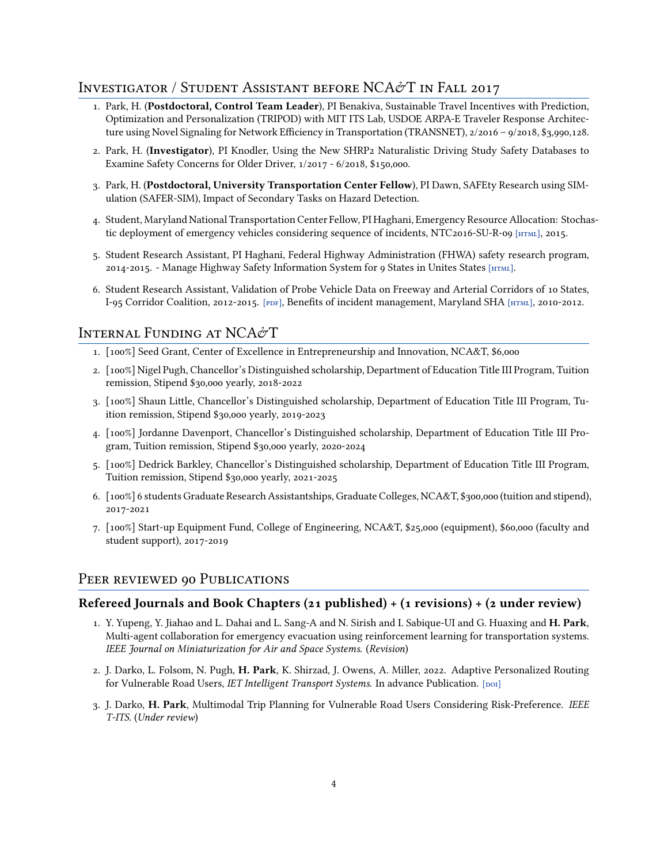## INVESTIGATOR / STUDENT ASSISTANT BEFORE NCA&T IN FALL 2017

- 1. Park, H. (**Postdoctoral, Control Team Leader**), PI Benakiva, Sustainable Travel Incentives with Prediction, Optimization and Personalization (TRIPOD) with MIT ITS Lab, USDOE ARPA-E Traveler Response Architecture using Novel Signaling for Network Efficiency in Transportation (TRANSNET), 2/2016 – 9/2018, \$3,990,128.
- 2. Park, H. (**Investigator**), PI Knodler, Using the New SHRP2 Naturalistic Driving Study Safety Databases to Examine Safety Concerns for Older Driver, 1/2017 - 6/2018, \$150,000.
- 3. Park, H. (**Postdoctoral, University Transportation Center Fellow**), PI Dawn, SAFEty Research using SIMulation (SAFER-SIM), Impact of Secondary Tasks on Hazard Detection.
- 4. Student, Maryland National Transportation Center Fellow, PI Haghani, Emergency Resource Allocation: Stochastic deployment of emergency vehicles considering sequence of incidents, NTC2016-SU-R-09 [HTML], 2015.
- 5. Student Research Assistant, PI Haghani, Federal Highway Administration (FHWA) safety research program, 2014-2015. - Manage Highway Safety Information System for 9 States in Unites States [\[html\]](http://www.hsisinfo.org/index.cfm).
- 6. Student Research Assistant, Validation of Probe Vehicle Data on Freeway and Arterial Corridors of 10 States, I-95 Corridor Coalition, 2012-2015. [PDF], Benefits of incident management, Maryland SHA [HTML], 2010-2012.

## INTERNAL FUNDING AT NCA&T

- 1. [100%] Seed Grant, Center of Excellence in Entrepreneurship and Innovation, NCA&T, \$6,000
- 2. [100%] Nigel Pugh, Chancellor's Distinguished scholarship, Department of Education Title III Program, Tuition remission, Stipend \$30,000 yearly, 2018-2022
- 3. [100%] Shaun Little, Chancellor's Distinguished scholarship, Department of Education Title III Program, Tuition remission, Stipend \$30,000 yearly, 2019-2023
- 4. [100%] Jordanne Davenport, Chancellor's Distinguished scholarship, Department of Education Title III Program, Tuition remission, Stipend \$30,000 yearly, 2020-2024
- 5. [100%] Dedrick Barkley, Chancellor's Distinguished scholarship, Department of Education Title III Program, Tuition remission, Stipend \$30,000 yearly, 2021-2025
- 6. [100%] 6 students Graduate Research Assistantships, Graduate Colleges, NCA&T, \$300,000 (tuition and stipend), 2017-2021
- 7. [100%] Start-up Equipment Fund, College of Engineering, NCA&T, \$25,000 (equipment), \$60,000 (faculty and student support), 2017-2019

## PEER REVIEWED 90 PUBLICATIONS

#### **Refereed Journals and Book Chapters (21 published) + (1 revisions) + (2 under review)**

- 1. Y. Yupeng, Y. Jiahao and L. Dahai and L. Sang-A and N. Sirish and I. Sabique-UI and G. Huaxing and **H. Park**, Multi-agent collaboration for emergency evacuation using reinforcement learning for transportation systems. *IEEE Journal on Miniaturization for Air and Space Systems*. (*Revision*)
- 2. J. Darko, L. Folsom, N. Pugh, **H. Park**, K. Shirzad, J. Owens, A. Miller, 2022. Adaptive Personalized Routing for Vulnerable Road Users, *IET Intelligent Transport Systems*. In advance Publication. [DOI]
- 3. J. Darko, **H. Park**, Multimodal Trip Planning for Vulnerable Road Users Considering Risk-Preference. *IEEE T-ITS*. (*Under review*)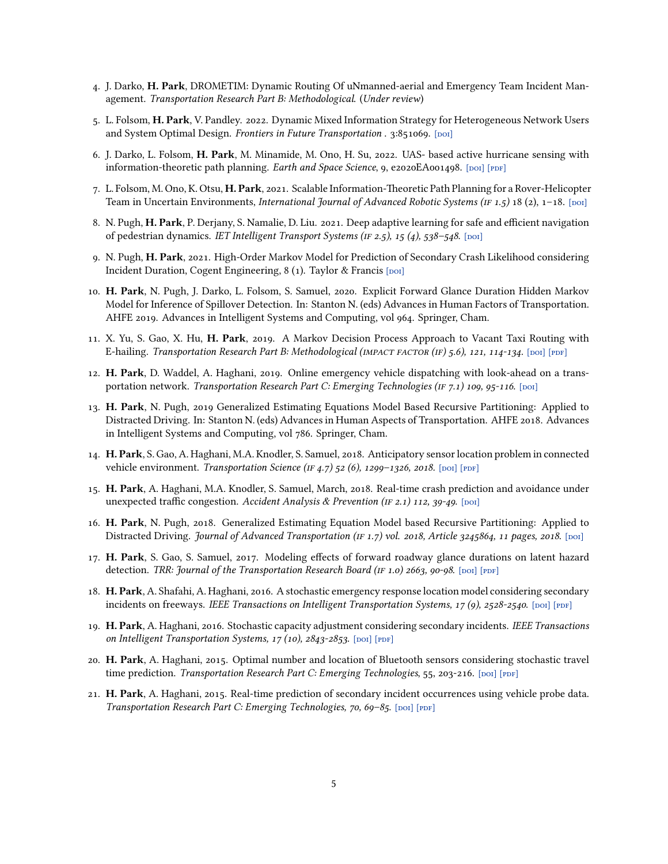- 4. J. Darko, **H. Park**, DROMETIM: Dynamic Routing Of uNmanned-aerial and Emergency Team Incident Management. *Transportation Research Part B: Methodological*. (*Under review*)
- 5. L. Folsom, **H. Park**, V. Pandley. 2022. Dynamic Mixed Information Strategy for Heterogeneous Network Users and System Optimal Design. *Frontiers in Future Transportation* . 3:851069. [DOI]
- 6. J. Darko, L. Folsom, **H. Park**, M. Minamide, M. Ono, H. Su, 2022. UAS- based active hurricane sensing with information-theoretic path planning. *Earth and Space Science*, 9, e2020EA001498. [DOI] [PDF]
- 7. L. Folsom, M. Ono, K. Otsu, **H. Park**, 2021. Scalable Information-Theoretic Path Planning for a Rover-Helicopter Team in Uncertain Environments, *International Journal of Advanced Robotic Systems (IF 1.5)* 18 (2), 1-18. [DOI]
- 8. N. Pugh, **H. Park**, P. Derjany, S. Namalie, D. Liu. 2021. Deep adaptive learning for safe and efficient navigation of pedestrian dynamics. *IET Intelligent Transport Systems (IF 2.5)*, 15 (4), 538-548. [DOI]
- 9. N. Pugh, **H. Park**, 2021. High-Order Markov Model for Prediction of Secondary Crash Likelihood considering Incident Duration, Cogent Engineering,  $8(1)$ . Taylor & Francis [poi]
- 10. **H. Park**, N. Pugh, J. Darko, L. Folsom, S. Samuel, 2020. Explicit Forward Glance Duration Hidden Markov Model for Inference of Spillover Detection. In: Stanton N. (eds) Advances in Human Factors of Transportation. AHFE 2019. Advances in Intelligent Systems and Computing, vol 964. Springer, Cham.
- 11. X. Yu, S. Gao, X. Hu, **H. Park**, 2019. A Markov Decision Process Approach to Vacant Taxi Routing with E-hailing. *Transportation Research Part B: Methodological (IMPACT FACTOR (IF) 5.6), 121, 114-134.* [DOI] [PDF]
- 12. **H. Park**, D. Waddel, A. Haghani, 2019. Online emergency vehicle dispatching with look-ahead on a transportation network. *Transportation Research Part C: Emerging Technologies (IF 7.1) 109, 95-116*. [DOI]
- 13. **H. Park**, N. Pugh, 2019 Generalized Estimating Equations Model Based Recursive Partitioning: Applied to Distracted Driving. In: Stanton N. (eds) Advances in Human Aspects of Transportation. AHFE 2018. Advances in Intelligent Systems and Computing, vol 786. Springer, Cham.
- 14. **H. Park**, S. Gao, A. Haghani, M.A. Knodler, S. Samuel, 2018. Anticipatory sensor location problem in connected vehicle environment. *Transportation Science* (IF 4.7) 52 (6), 1299-1326, 2018. [DOI] [PDF]
- 15. **H. Park**, A. Haghani, M.A. Knodler, S. Samuel, March, 2018. Real-time crash prediction and avoidance under unexpected traffic congestion. *Accident Analysis & Prevention (IF 2.1) 112, 39-49*. [poi]
- 16. **H. Park**, N. Pugh, 2018. Generalized Estimating Equation Model based Recursive Partitioning: Applied to Distracted Driving. *Journal of Advanced Transportation (IF 1.7) vol. 2018, Article 3245864, 11 pages, 2018*. [Doi]
- 17. **H. Park**, S. Gao, S. Samuel, 2017. Modeling effects of forward roadway glance durations on latent hazard detection. *TRR: Journal of the Transportation Research Board (IF 1.0) 2663, 90-98*. [DOI] [PDF]
- 18. **H. Park**, A. Shafahi, A. Haghani, 2016. A stochastic emergency response location model considering secondary incidents on freeways. *IEEE Transactions on Intelligent Transportation Systems, 17 (9), 2528-2540*. [poi] [PDF]
- 19. **H. Park**, A. Haghani, 2016. Stochastic capacity adjustment considering secondary incidents. *IEEE Transactions on Intelligent Transportation Systems, 17 (10), 2843-2853.* [DOI] [PDF]
- 20. **H. Park**, A. Haghani, 2015. Optimal number and location of Bluetooth sensors considering stochastic travel time prediction. *Transportation Research Part C: Emerging Technologies*, 55, 203-216. [poi] [PDF]
- 21. **H. Park**, A. Haghani, 2015. Real-time prediction of secondary incident occurrences using vehicle probe data. *Transportation Research Part C: Emerging Technologies, 70, 69-85.* [DOI] [PDF]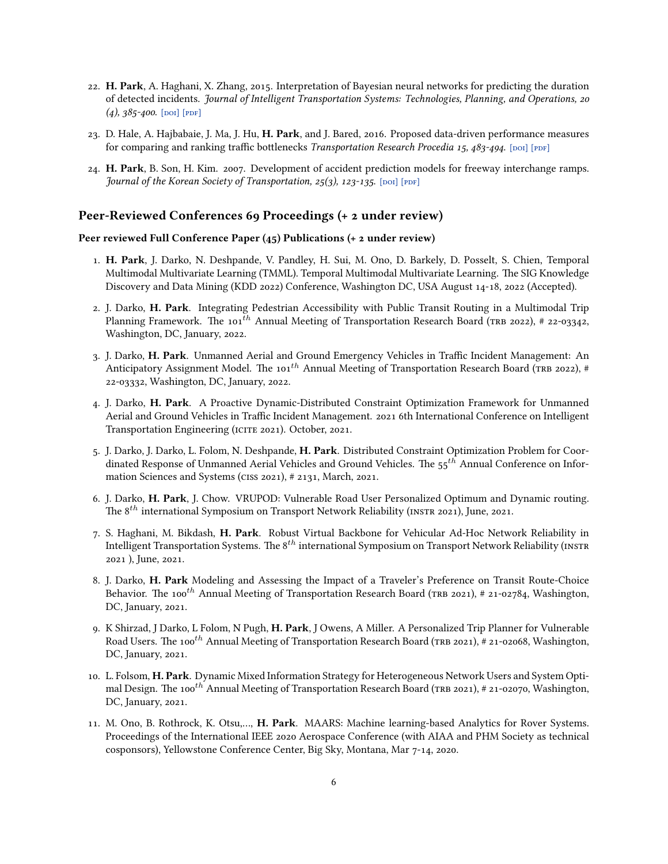- 22. **H. Park**, A. Haghani, X. Zhang, 2015. Interpretation of Bayesian neural networks for predicting the duration of detected incidents. *Journal of Intelligent Transportation Systems: Technologies, Planning, and Operations, 20*  $(4)$ ,  $385 - 400$ . [DOI] [PDF]
- 23. D. Hale, A. Hajbabaie, J. Ma, J. Hu, **H. Park**, and J. Bared, 2016. Proposed data-driven performance measures for comparing and ranking traffic bottlenecks *Transportation Research Procedia 15, 483-494*. [poi] [ppF]
- 24. **H. Park**, B. Son, H. Kim. 2007. Development of accident prediction models for freeway interchange ramps. *Journal of the Korean Society of Transportation, 25(3), 123-135.* [poi] [PDF]

#### **Peer-Reviewed Conferences 69 Proceedings (+ 2 under review)**

#### **Peer reviewed Full Conference Paper (45) Publications (+ 2 under review)**

- 1. **H. Park**, J. Darko, N. Deshpande, V. Pandley, H. Sui, M. Ono, D. Barkely, D. Posselt, S. Chien, Temporal Multimodal Multivariate Learning (TMML). Temporal Multimodal Multivariate Learning. The SIG Knowledge Discovery and Data Mining (KDD 2022) Conference, Washington DC, USA August 14-18, 2022 (Accepted).
- 2. J. Darko, **H. Park**. Integrating Pedestrian Accessibility with Public Transit Routing in a Multimodal Trip Planning Framework. The 101<sup>th</sup> Annual Meeting of Transportation Research Board (TRB 2022), # 22-03342, Washington, DC, January, 2022.
- 3. J. Darko, **H. Park**. Unmanned Aerial and Ground Emergency Vehicles in Traffic Incident Management: An Anticipatory Assignment Model. The 101<sup>th</sup> Annual Meeting of Transportation Research Board (TRB 2022), # 22-03332, Washington, DC, January, 2022.
- 4. J. Darko, **H. Park**. A Proactive Dynamic-Distributed Constraint Optimization Framework for Unmanned Aerial and Ground Vehicles in Traffic Incident Management. 2021 6th International Conference on Intelligent Transportation Engineering (ICITE 2021). October, 2021.
- 5. J. Darko, J. Darko, L. Folom, N. Deshpande, **H. Park**. Distributed Constraint Optimization Problem for Coordinated Response of Unmanned Aerial Vehicles and Ground Vehicles. The 55*th* Annual Conference on Information Sciences and Systems (ciss 2021), # 2131, March, 2021.
- 6. J. Darko, **H. Park**, J. Chow. VRUPOD: Vulnerable Road User Personalized Optimum and Dynamic routing. The 8<sup>th</sup> international Symposium on Transport Network Reliability (INSTR 2021), June, 2021.
- 7. S. Haghani, M. Bikdash, **H. Park**. Robust Virtual Backbone for Vehicular Ad-Hoc Network Reliability in Intelligent Transportation Systems. The 8<sup>th</sup> international Symposium on Transport Network Reliability (INSTR 2021 ), June, 2021.
- 8. J. Darko, **H. Park** Modeling and Assessing the Impact of a Traveler's Preference on Transit Route-Choice Behavior. The 100<sup>th</sup> Annual Meeting of Transportation Research Board (TRB 2021), # 21-02784, Washington, DC, January, 2021.
- 9. K Shirzad, J Darko, L Folom, N Pugh, **H. Park**, J Owens, A Miller. A Personalized Trip Planner for Vulnerable Road Users. The 100<sup>th</sup> Annual Meeting of Transportation Research Board (TRB 2021), # 21-02068, Washington, DC, January, 2021.
- 10. L. Folsom, **H. Park**. Dynamic Mixed Information Strategy for Heterogeneous Network Users and System Optimal Design. The 100<sup>th</sup> Annual Meeting of Transportation Research Board (TRB 2021), # 21-02070, Washington, DC, January, 2021.
- 11. M. Ono, B. Rothrock, K. Otsu,…, **H. Park**. MAARS: Machine learning-based Analytics for Rover Systems. Proceedings of the International IEEE 2020 Aerospace Conference (with AIAA and PHM Society as technical cosponsors), Yellowstone Conference Center, Big Sky, Montana, Mar 7-14, 2020.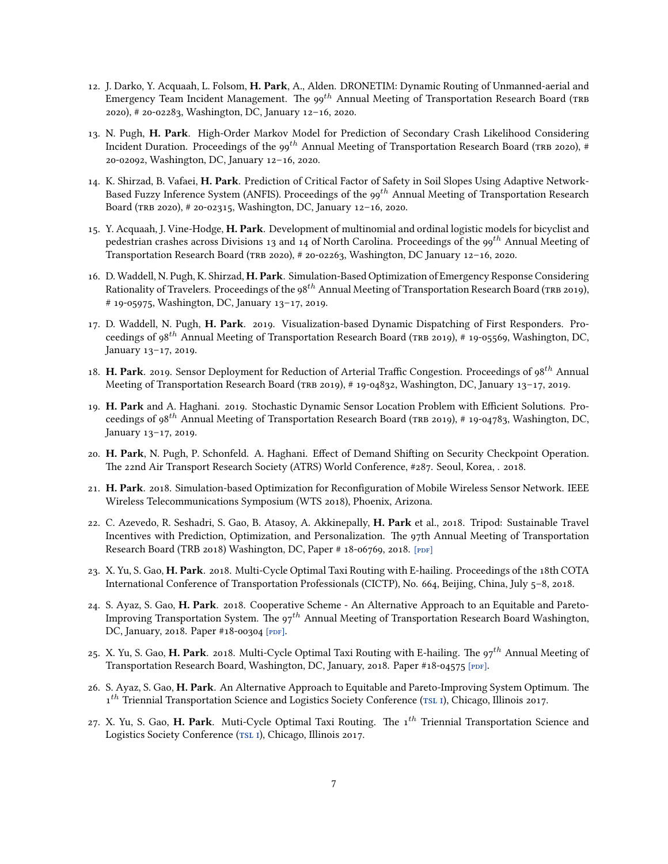- 12. J. Darko, Y. Acquaah, L. Folsom, **H. Park**, A., Alden. DRONETIM: Dynamic Routing of Unmanned-aerial and Emergency Team Incident Management. The 99*th* Annual Meeting of Transportation Research Board (tRb 2020), # 20-02283, Washington, DC, January 12–16, 2020.
- 13. N. Pugh, **H. Park**. High-Order Markov Model for Prediction of Secondary Crash Likelihood Considering Incident Duration. Proceedings of the 99<sup>th</sup> Annual Meeting of Transportation Research Board (TRB 2020), # 20-02092, Washington, DC, January 12–16, 2020.
- 14. K. Shirzad, B. Vafaei, **H. Park**. Prediction of Critical Factor of Safety in Soil Slopes Using Adaptive Network-Based Fuzzy Inference System (ANFIS). Proceedings of the 99*th* Annual Meeting of Transportation Research Board (tRb 2020), # 20-02315, Washington, DC, January 12–16, 2020.
- 15. Y. Acquaah, J. Vine-Hodge, **H. Park**. Development of multinomial and ordinal logistic models for bicyclist and pedestrian crashes across Divisions 13 and 14 of North Carolina. Proceedings of the 99*th* Annual Meeting of Transportation Research Board (tRb 2020), # 20-02263, Washington, DC January 12–16, 2020.
- 16. D. Waddell, N. Pugh, K. Shirzad, **H. Park**. Simulation-Based Optimization of Emergency Response Considering Rationality of Travelers. Proceedings of the 98*th* Annual Meeting of Transportation Research Board (tRb 2019), # 19-05975, Washington, DC, January 13–17, 2019.
- 17. D. Waddell, N. Pugh, **H. Park**. 2019. Visualization-based Dynamic Dispatching of First Responders. Proceedings of 98<sup>th</sup> Annual Meeting of Transportation Research Board (TRB 2019), # 19-05569, Washington, DC, January 13–17, 2019.
- 18. **H. Park**. 2019. Sensor Deployment for Reduction of Arterial Traffic Congestion. Proceedings of 98*th* Annual Meeting of Transportation Research Board (TRB 2019), # 19-04832, Washington, DC, January 13-17, 2019.
- 19. **H. Park** and A. Haghani. 2019. Stochastic Dynamic Sensor Location Problem with Efficient Solutions. Proceedings of 98<sup>th</sup> Annual Meeting of Transportation Research Board (TRB 2019), # 19-04783, Washington, DC, January 13–17, 2019.
- 20. **H. Park**, N. Pugh, P. Schonfeld. A. Haghani. Effect of Demand Shifting on Security Checkpoint Operation. The 22nd Air Transport Research Society (ATRS) World Conference, #287. Seoul, Korea, . 2018.
- 21. **H. Park**. 2018. Simulation-based Optimization for Reconfiguration of Mobile Wireless Sensor Network. IEEE Wireless Telecommunications Symposium (WTS 2018), Phoenix, Arizona.
- 22. C. Azevedo, R. Seshadri, S. Gao, B. Atasoy, A. Akkinepally, **H. Park** et al., 2018. Tripod: Sustainable Travel Incentives with Prediction, Optimization, and Personalization. The 97th Annual Meeting of Transportation Research Board (TRB 2018) Washington, DC, Paper # 18-06769, 2018. [PDF]
- 23. X. Yu, S. Gao, **H. Park**. 2018. Multi-Cycle Optimal Taxi Routing with E-hailing. Proceedings of the 18th COTA International Conference of Transportation Professionals (CICTP), No. 664, Beijing, China, July 5–8, 2018.
- 24. S. Ayaz, S. Gao, **H. Park**. 2018. Cooperative Scheme An Alternative Approach to an Equitable and Pareto-Improving Transportation System. The 97*th* Annual Meeting of Transportation Research Board Washington, DC, January, 2018. Paper #18-00304 [PDF].
- 25. X. Yu, S. Gao, **H. Park**. 2018. Multi-Cycle Optimal Taxi Routing with E-hailing. The 97*th* Annual Meeting of Transportation Research Board, Washington, DC, January, 2018. Paper #18-04575 [PDF].
- 26. S. Ayaz, S. Gao, **H. Park**. An Alternative Approach to Equitable and Pareto-Improving System Optimum. The 1<sup>th</sup>Triennial Transportation Science and Logistics Society Conference (TSL I), Chicago, Illinois 2017.
- 27. X. Yu, S. Gao, **H. Park**. Muti-Cycle Optimal Taxi Routing. The 1*th* Triennial Transportation Science and Logistics Society Conference (TSL I), Chicago, Illinois 2017.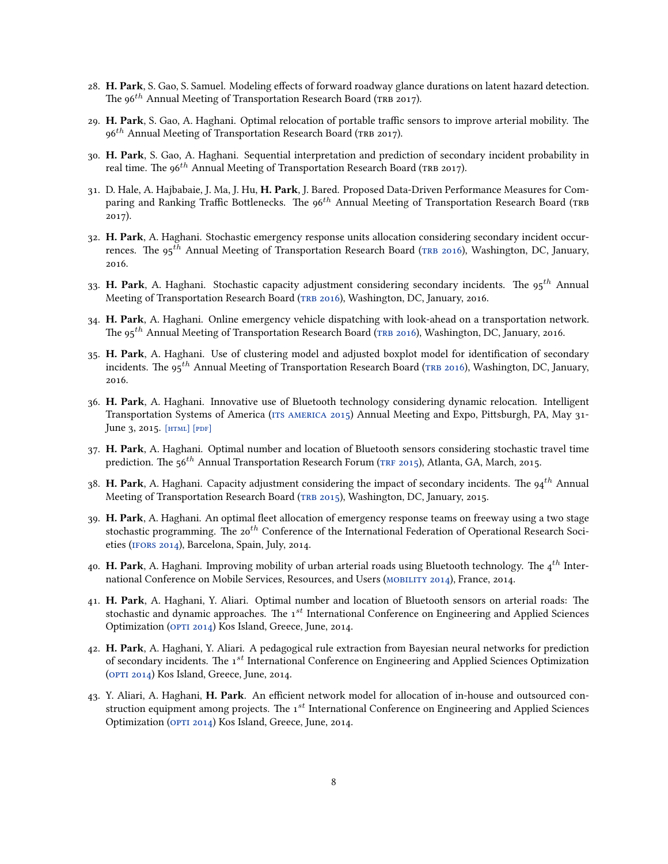- 28. **H. Park**, S. Gao, S. Samuel. Modeling effects of forward roadway glance durations on latent hazard detection. The 96<sup>th</sup> Annual Meeting of Transportation Research Board (TRB 2017).
- 29. **H. Park**, S. Gao, A. Haghani. Optimal relocation of portable traffic sensors to improve arterial mobility. The 96<sup>th</sup> Annual Meeting of Transportation Research Board (TRB 2017).
- 30. **H. Park**, S. Gao, A. Haghani. Sequential interpretation and prediction of secondary incident probability in real time. The 96<sup>th</sup> Annual Meeting of Transportation Research Board (TRB 2017).
- 31. D. Hale, A. Hajbabaie, J. Ma, J. Hu, **H. Park**, J. Bared. Proposed Data-Driven Performance Measures for Comparing and Ranking Traffic Bottlenecks. The 96<sup>th</sup> Annual Meeting of Transportation Research Board (TRB 2017).
- 32. **H. Park**, A. Haghani. Stochastic emergency response units allocation considering secondary incident occur-rences.The 95<sup>th</sup> Annual Meeting of Transportation Research Board (TRB 2016), Washington, DC, January, 2016.
- 33. **H. Park**, A. Haghani. Stochastic capacity adjustment considering secondary incidents. The 95*th* Annual Meetingof Transportation Research Board (TRB 2016), Washington, DC, January, 2016.
- 34. **H. Park**, A. Haghani. Online emergency vehicle dispatching with look-ahead on a transportation network. The 95*th* Annual Meeting of Transportation Research Board([tRb 2016\)](http://amonline.trb.org/trb57535-2015-1.1793793/t024-1.1811852/748-1.1811965?qr=1), Washington, DC, January, 2016.
- 35. **H. Park**, A. Haghani. Use of clustering model and adjusted boxplot model for identification of secondary incidents.The 95<sup>th</sup> Annual Meeting of Transportation Research Board (TRB 2016), Washington, DC, January, 2016.
- 36. **H. Park**, A. Haghani. Innovative use of Bluetooth technology considering dynamic relocation. Intelligent Transportation Systems of America (ITS AMERICA 2015) Annual Meeting and Expo, Pittsburgh, PA, May 31-June 3, 2015.  $[HTML]$   $[PDF]$
- 37. **H. Park**, A. Haghani. Optimal number and location of Bluetooth sensors considering stochastic travel time prediction. The 56<sup>th</sup> Annual Transportation Research Forum (TRF 2015), Atlanta, GA, March, 2015.
- 38. **H. Park**, A. Haghani. Capacity adjustment considering the impact of secondary incidents. The 94*th* Annual Meetingof Transportation Research Board (TRB 2015), Washington, DC, January, 2015.
- 39. **H. Park**, A. Haghani. An optimal fleet allocation of emergency response teams on freeway using a two stage stochastic programming. The 20*th* Conference of the International Federation of Operational Research Societies([ifoRs 2014](https://www.euro-online.org/conf/ifors2014/treat_abstract?paperid=14265)), Barcelona, Spain, July, 2014.
- 40. **H. Park**, A. Haghani. Improving mobility of urban arterial roads using Bluetooth technology. The 4*th* International Conference on Mobile Services, Resources, and Users [\(mobility 2014\)](https://www.thinkmind.org/index.php?view=article&articleid=mobility_2014_3_10_70018), France, 2014.
- 41. **H. Park**, A. Haghani, Y. Aliari. Optimal number and location of Bluetooth sensors on arterial roads: The stochastic and dynamic approaches. The 1*st* International Conference on Engineering and Applied Sciences Optimization(OPTI 2014) Kos Island, Greece, June, 2014.
- 42. **H. Park**, A. Haghani, Y. Aliari. A pedagogical rule extraction from Bayesian neural networks for prediction of secondary incidents. The 1*st* International Conference on Engineering and Applied Sciences Optimization ([opti 2014\)](https://www.facebook.com/OPTI.2014.KOS) Kos Island, Greece, June, 2014.
- 43. Y. Aliari, A. Haghani, **H. Park**. An efficient network model for allocation of in-house and outsourced construction equipment among projects. The 1*st* International Conference on Engineering and Applied Sciences Optimization(OPTI 2014) Kos Island, Greece, June, 2014.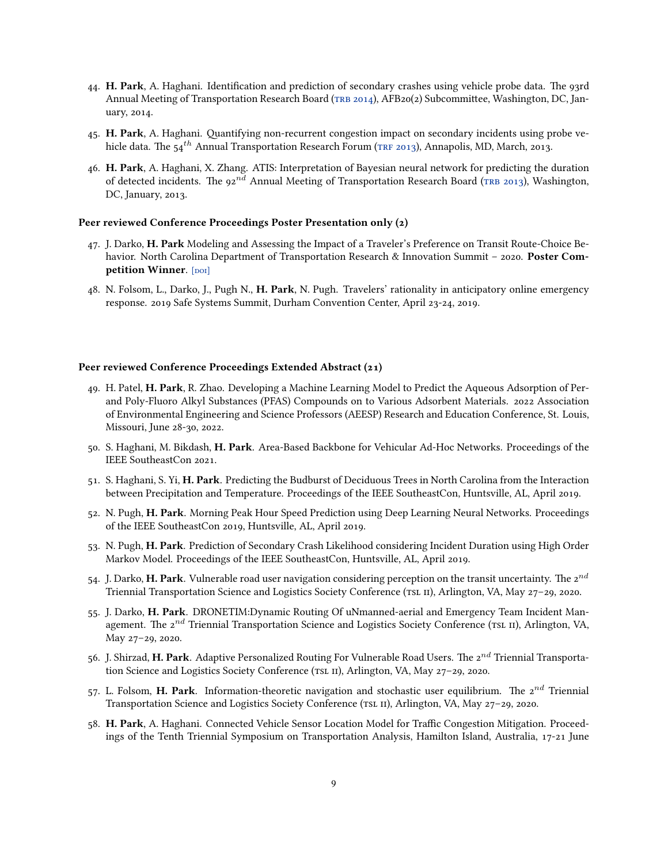- 44. **H. Park**, A. Haghani. Identification and prediction of secondary crashes using vehicle probe data. The 93rd AnnualMeeting of Transportation Research Board (TRB 2014), AFB20(2) Subcommittee, Washington, DC, January, 2014.
- 45. **H. Park**, A. Haghani. Quantifying non-recurrent congestion impact on secondary incidents using probe vehicle data. The 54<sup>th</sup> Annual Transportation Research Forum (TRF 2013), Annapolis, MD, March, 2013.
- 46. **H. Park**, A. Haghani, X. Zhang. ATIS: Interpretation of Bayesian neural network for predicting the duration ofdetected incidents. The 92<sup>nd</sup> Annual Meeting of Transportation Research Board (TRB 2013), Washington, DC, January, 2013.

#### **Peer reviewed Conference Proceedings Poster Presentation only (2)**

- 47. J. Darko, **H. Park** Modeling and Assessing the Impact of a Traveler's Preference on Transit Route-Choice Behavior. North Carolina Department of Transportation Research & Innovation Summit – 2020. **Poster Competition Winner**. [DOI]
- 48. N. Folsom, L., Darko, J., Pugh N., **H. Park**, N. Pugh. Travelers' rationality in anticipatory online emergency response. 2019 Safe Systems Summit, Durham Convention Center, April 23-24, 2019.

#### **Peer reviewed Conference Proceedings Extended Abstract (21)**

- 49. H. Patel, **H. Park**, R. Zhao. Developing a Machine Learning Model to Predict the Aqueous Adsorption of Perand Poly-Fluoro Alkyl Substances (PFAS) Compounds on to Various Adsorbent Materials. 2022 Association of Environmental Engineering and Science Professors (AEESP) Research and Education Conference, St. Louis, Missouri, June 28-30, 2022.
- 50. S. Haghani, M. Bikdash, **H. Park**. Area-Based Backbone for Vehicular Ad-Hoc Networks. Proceedings of the IEEE SoutheastCon 2021.
- 51. S. Haghani, S. Yi, **H. Park**. Predicting the Budburst of Deciduous Trees in North Carolina from the Interaction between Precipitation and Temperature. Proceedings of the IEEE SoutheastCon, Huntsville, AL, April 2019.
- 52. N. Pugh, **H. Park**. Morning Peak Hour Speed Prediction using Deep Learning Neural Networks. Proceedings of the IEEE SoutheastCon 2019, Huntsville, AL, April 2019.
- 53. N. Pugh, **H. Park**. Prediction of Secondary Crash Likelihood considering Incident Duration using High Order Markov Model. Proceedings of the IEEE SoutheastCon, Huntsville, AL, April 2019.
- 54. J. Darko, **H. Park**. Vulnerable road user navigation considering perception on the transit uncertainty. The 2*nd* Triennial Transportation Science and Logistics Society Conference (TSL II), Arlington, VA, May 27-29, 2020.
- 55. J. Darko, **H. Park**. DRONETIM:Dynamic Routing Of uNmanned-aerial and Emergency Team Incident Management. The 2<sup>nd</sup> Triennial Transportation Science and Logistics Society Conference (TSL II), Arlington, VA, May 27–29, 2020.
- 56. J. Shirzad, **H. Park**. Adaptive Personalized Routing For Vulnerable Road Users. The 2*nd* Triennial Transportation Science and Logistics Society Conference (TSL II), Arlington, VA, May 27–29, 2020.
- 57. L. Folsom, **H. Park**. Information-theoretic navigation and stochastic user equilibrium. The 2*nd* Triennial Transportation Science and Logistics Society Conference (TSL II), Arlington, VA, May 27–29, 2020.
- 58. **H. Park**, A. Haghani. Connected Vehicle Sensor Location Model for Traffic Congestion Mitigation. Proceedings of the Tenth Triennial Symposium on Transportation Analysis, Hamilton Island, Australia, 17-21 June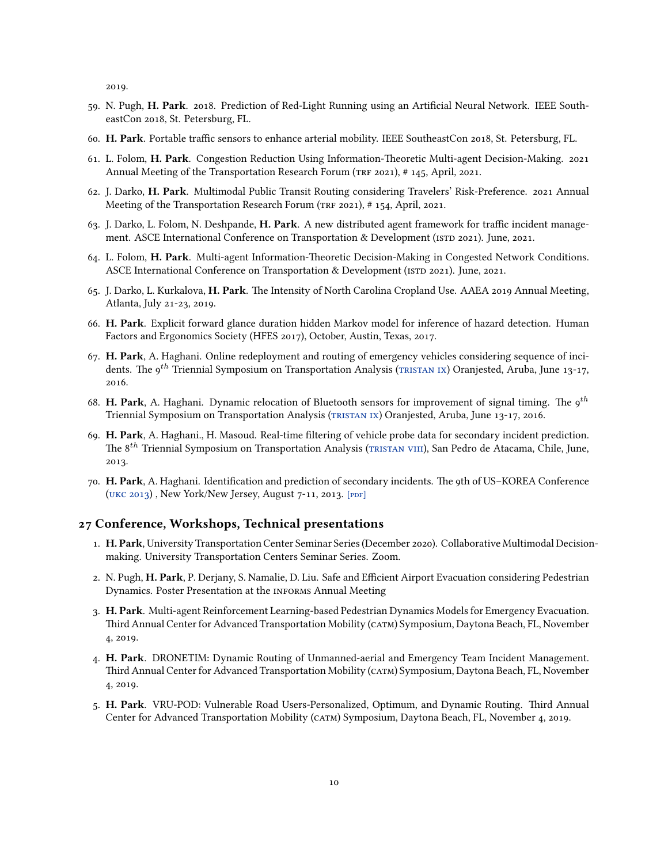2019.

- 59. N. Pugh, **H. Park**. 2018. Prediction of Red-Light Running using an Artificial Neural Network. IEEE SoutheastCon 2018, St. Petersburg, FL.
- 60. **H. Park**. Portable traffic sensors to enhance arterial mobility. IEEE SoutheastCon 2018, St. Petersburg, FL.
- 61. L. Folom, **H. Park**. Congestion Reduction Using Information-Theoretic Multi-agent Decision-Making. 2021 Annual Meeting of the Transportation Research Forum (TRF 2021), # 145, April, 2021.
- 62. J. Darko, **H. Park**. Multimodal Public Transit Routing considering Travelers' Risk-Preference. 2021 Annual Meeting of the Transportation Research Forum (TRF 2021), # 154, April, 2021.
- 63. J. Darko, L. Folom, N. Deshpande, **H. Park**. A new distributed agent framework for traffic incident management. ASCE International Conference on Transportation & Development (ISTD 2021). June, 2021.
- 64. L. Folom, **H. Park**. Multi-agent Information-Theoretic Decision-Making in Congested Network Conditions. ASCE International Conference on Transportation & Development (ISTD 2021). June, 2021.
- 65. J. Darko, L. Kurkalova, **H. Park**. The Intensity of North Carolina Cropland Use. AAEA 2019 Annual Meeting, Atlanta, July 21-23, 2019.
- 66. **H. Park**. Explicit forward glance duration hidden Markov model for inference of hazard detection. Human Factors and Ergonomics Society (HFES 2017), October, Austin, Texas, 2017.
- 67. **H. Park**, A. Haghani. Online redeployment and routing of emergency vehicles considering sequence of inci-dents.The 9<sup>th</sup> Triennial Symposium on Transportation Analysis (TRISTAN IX) Oranjested, Aruba, June 13-17, 2016.
- 68. **H. Park**, A. Haghani. Dynamic relocation of Bluetooth sensors for improvement of signal timing. The 9*th* Triennial Symposium on Transportation Analysis([tRistan ix](http://tristan-symposium.org/)) Oranjested, Aruba, June 13-17, 2016.
- 69. **H. Park**, A. Haghani., H. Masoud. Real-time filtering of vehicle probe data for secondary incident prediction. The 8<sup>th</sup> Triennial Symposium on Transportation Analysis (TRISTAN VIII), San Pedro de Atacama, Chile, June, 2013.
- 70. **H. Park**, A. Haghani. Identification and prediction of secondary incidents. The 9th of US–KOREA Conference (UKC 2013), New York/New Jersey, August 7-11, 2013. [PDF]

#### **27 Conference, Workshops, Technical presentations**

- 1. **H. Park**, University Transportation Center Seminar Series (December 2020). Collaborative Multimodal Decisionmaking. University Transportation Centers Seminar Series. Zoom.
- 2. N. Pugh, **H. Park**, P. Derjany, S. Namalie, D. Liu. Safe and Efficient Airport Evacuation considering Pedestrian Dynamics. Poster Presentation at the INFORMS Annual Meeting
- 3. **H. Park**. Multi-agent Reinforcement Learning-based Pedestrian Dynamics Models for Emergency Evacuation. Third Annual Center for Advanced Transportation Mobility (catm) Symposium, Daytona Beach, FL, November 4, 2019.
- 4. **H. Park**. DRONETIM: Dynamic Routing of Unmanned-aerial and Emergency Team Incident Management. Third Annual Center for Advanced Transportation Mobility (catm) Symposium, Daytona Beach, FL, November 4, 2019.
- 5. **H. Park**. VRU-POD: Vulnerable Road Users-Personalized, Optimum, and Dynamic Routing. Third Annual Center for Advanced Transportation Mobility (catm) Symposium, Daytona Beach, FL, November 4, 2019.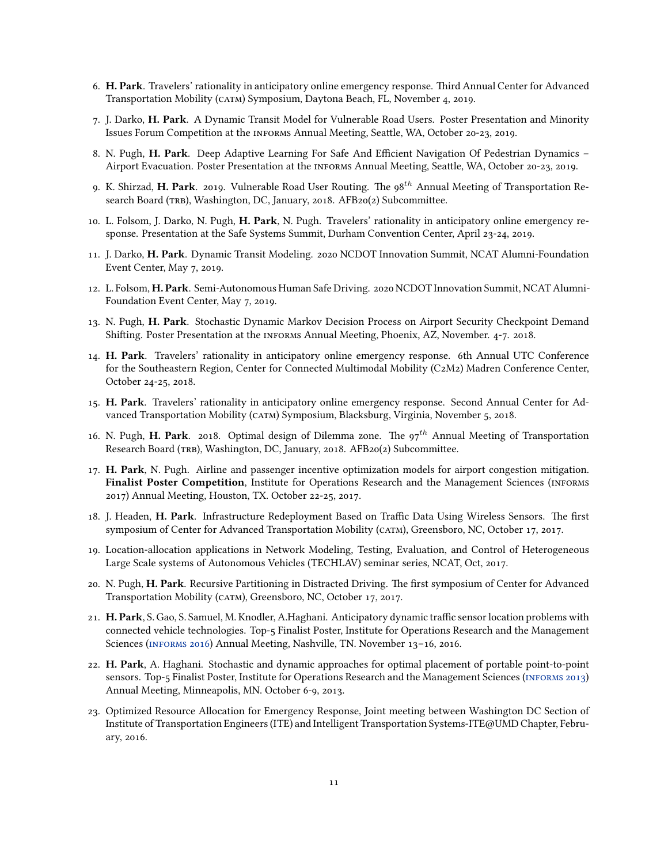- 6. **H. Park**. Travelers' rationality in anticipatory online emergency response. Third Annual Center for Advanced Transportation Mobility (catm) Symposium, Daytona Beach, FL, November 4, 2019.
- 7. J. Darko, **H. Park**. A Dynamic Transit Model for Vulnerable Road Users. Poster Presentation and Minority Issues Forum Competition at the infoRms Annual Meeting, Seattle, WA, October 20-23, 2019.
- 8. N. Pugh, **H. Park**. Deep Adaptive Learning For Safe And Efficient Navigation Of Pedestrian Dynamics Airport Evacuation. Poster Presentation at the INFORMS Annual Meeting, Seattle, WA, October 20-23, 2019.
- 9. K. Shirzad, **H. Park**. 2019. Vulnerable Road User Routing. The 98*th* Annual Meeting of Transportation Research Board (TRB), Washington, DC, January, 2018. AFB20(2) Subcommittee.
- 10. L. Folsom, J. Darko, N. Pugh, **H. Park**, N. Pugh. Travelers' rationality in anticipatory online emergency response. Presentation at the Safe Systems Summit, Durham Convention Center, April 23-24, 2019.
- 11. J. Darko, **H. Park**. Dynamic Transit Modeling. 2020 NCDOT Innovation Summit, NCAT Alumni-Foundation Event Center, May 7, 2019.
- 12. L. Folsom, **H. Park**. Semi-Autonomous Human Safe Driving. 2020 NCDOT Innovation Summit, NCAT Alumni-Foundation Event Center, May 7, 2019.
- 13. N. Pugh, **H. Park**. Stochastic Dynamic Markov Decision Process on Airport Security Checkpoint Demand Shifting. Poster Presentation at the INFORMS Annual Meeting, Phoenix, AZ, November. 4-7. 2018.
- 14. **H. Park**. Travelers' rationality in anticipatory online emergency response. 6th Annual UTC Conference for the Southeastern Region, Center for Connected Multimodal Mobility (C2M2) Madren Conference Center, October 24-25, 2018.
- 15. **H. Park**. Travelers' rationality in anticipatory online emergency response. Second Annual Center for Advanced Transportation Mobility (catm) Symposium, Blacksburg, Virginia, November 5, 2018.
- 16. N. Pugh, **H. Park**. 2018. Optimal design of Dilemma zone. The 97*th* Annual Meeting of Transportation Research Board (tRb), Washington, DC, January, 2018. AFB20(2) Subcommittee.
- 17. **H. Park**, N. Pugh. Airline and passenger incentive optimization models for airport congestion mitigation. **Finalist Poster Competition**, Institute for Operations Research and the Management Sciences (infoRms 2017) Annual Meeting, Houston, TX. October 22-25, 2017.
- 18. J. Headen, **H. Park**. Infrastructure Redeployment Based on Traffic Data Using Wireless Sensors. The first symposium of Center for Advanced Transportation Mobility (CATM), Greensboro, NC, October 17, 2017.
- 19. Location-allocation applications in Network Modeling, Testing, Evaluation, and Control of Heterogeneous Large Scale systems of Autonomous Vehicles (TECHLAV) seminar series, NCAT, Oct, 2017.
- 20. N. Pugh, **H. Park**. Recursive Partitioning in Distracted Driving. The first symposium of Center for Advanced Transportation Mobility (catm), Greensboro, NC, October 17, 2017.
- 21. **H. Park**, S. Gao, S. Samuel, M. Knodler, A.Haghani. Anticipatory dynamic traffic sensor location problems with connected vehicle technologies. Top-5 Finalist Poster, Institute for Operations Research and the Management Sciences([infoRms 2016](http://www.abstractsonline.com/pp8/#!/4182/session/1821)) Annual Meeting, Nashville, TN. November 13–16, 2016.
- 22. **H. Park**, A. Haghani. Stochastic and dynamic approaches for optimal placement of portable point-to-point sensors.Top-5 Finalist Poster, Institute for Operations Research and the Management Sciences (INFORMS 2013) Annual Meeting, Minneapolis, MN. October 6-9, 2013.
- 23. Optimized Resource Allocation for Emergency Response, Joint meeting between Washington DC Section of Institute of Transportation Engineers (ITE) and Intelligent Transportation Systems-ITE@UMD Chapter, February, 2016.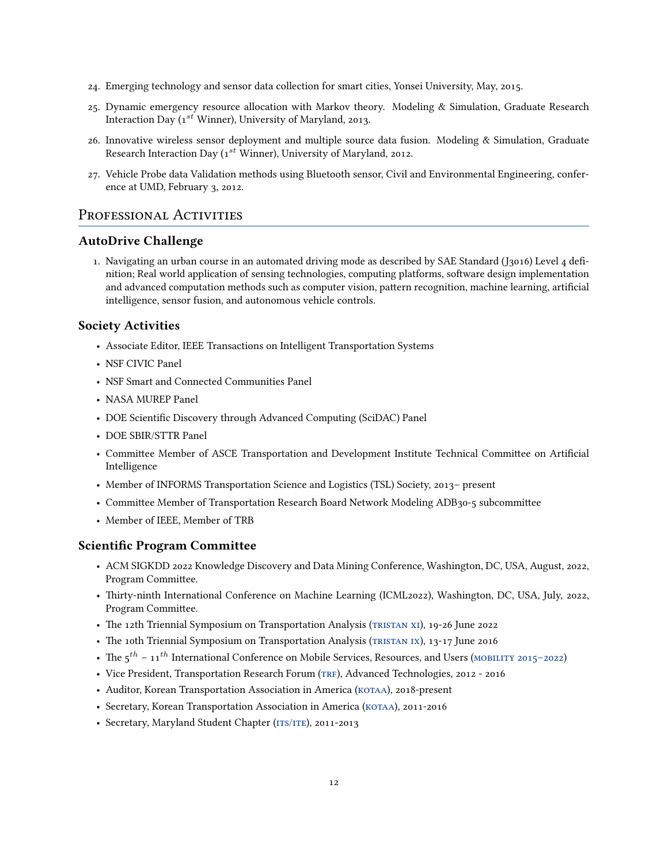- 24. Emerging technology and sensor data collection for smart cities, Yonsei University, May, 2015.
- 25. Dynamic emergency resource allocation with Markov theory. Modeling & Simulation, Graduate Research Interaction Day (1*st* Winner), University of Maryland, 2013.
- 26. Innovative wireless sensor deployment and multiple source data fusion. Modeling & Simulation, Graduate Research Interaction Day (1*st* Winner), University of Maryland, 2012.
- 27. Vehicle Probe data Validation methods using Bluetooth sensor, Civil and Environmental Engineering, conference at UMD, February 3, 2012.

### PROFESSIONAL ACTIVITIES

#### **AutoDrive Challenge**

1. Navigating an urban course in an automated driving mode as described by SAE Standard (J3016) Level 4 definition; Real world application of sensing technologies, computing platforms, software design implementation and advanced computation methods such as computer vision, pattern recognition, machine learning, artificial intelligence, sensor fusion, and autonomous vehicle controls.

#### **Society Activities**

- Associate Editor, IEEE Transactions on Intelligent Transportation Systems
- NSF CIVIC Panel
- NSF Smart and Connected Communities Panel
- NASA MUREP Panel
- DOE Scientific Discovery through Advanced Computing (SciDAC) Panel
- DOE SBIR/STTR Panel
- Committee Member of ASCE Transportation and Development Institute Technical Committee on Artificial Intelligence
- Member of INFORMS Transportation Science and Logistics (TSL) Society, 2013– present
- Committee Member of Transportation Research Board Network Modeling ADB30-5 subcommittee
- Member of IEEE, Member of TRB

#### **Scientific Program Committee**

- ACM SIGKDD 2022 Knowledge Discovery and Data Mining Conference, Washington, DC, USA, August, 2022, Program Committee.
- Thirty-ninth International Conference on Machine Learning (ICML2022), Washington, DC, USA, July, 2022, Program Committee.
- The 12th Triennial Symposium on Transportation Analysis (TRISTAN XI), 19-26 June 2022
- The 10th Triennial Symposium on Transportation Analysis (TRISTAN IX), 13-17 June 2016
- The  $5<sup>th</sup> 11<sup>th</sup>$  International Conference on Mobile Services, Resources, and Users (MOBILITY 2015–2022)
- Vice President, Transportation Research Forum (TRF), Advanced Technologies, 2012 2016
- Auditor, Korean Transportation Association in America (KOTAA), 2018-present
- Secretary, Korean Transportation Association in America (KOTAA), 2011-2016
- Secretary, Maryland Student Chapter (ITS/ITE), 2011-2013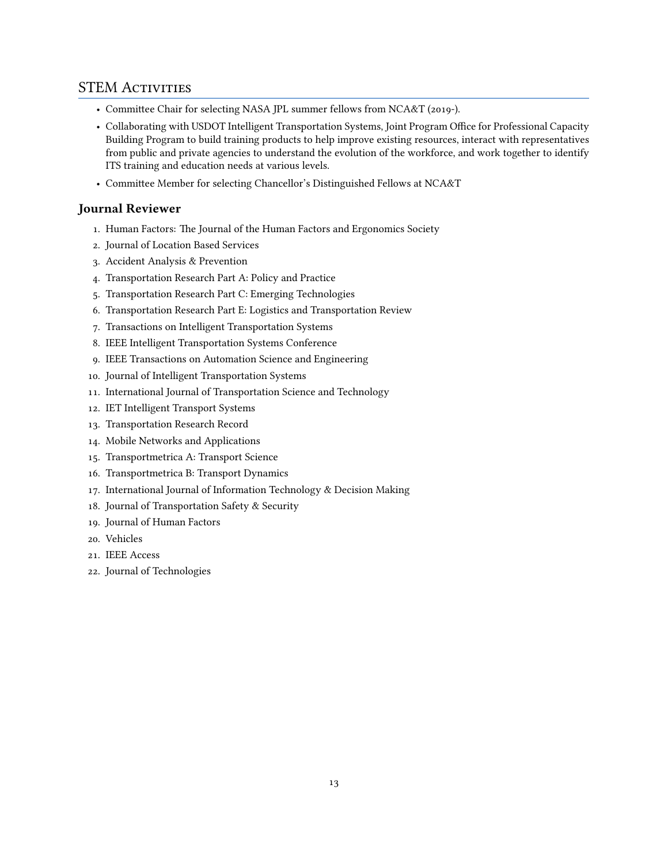## STEM ACTIVITIES

- Committee Chair for selecting NASA JPL summer fellows from NCA&T (2019-).
- Collaborating with USDOT Intelligent Transportation Systems, Joint Program Office for Professional Capacity Building Program to build training products to help improve existing resources, interact with representatives from public and private agencies to understand the evolution of the workforce, and work together to identify ITS training and education needs at various levels.
- Committee Member for selecting Chancellor's Distinguished Fellows at NCA&T

## **Journal Reviewer**

- 1. Human Factors: The Journal of the Human Factors and Ergonomics Society
- 2. Journal of Location Based Services
- 3. Accident Analysis & Prevention
- 4. Transportation Research Part A: Policy and Practice
- 5. Transportation Research Part C: Emerging Technologies
- 6. Transportation Research Part E: Logistics and Transportation Review
- 7. Transactions on Intelligent Transportation Systems
- 8. IEEE Intelligent Transportation Systems Conference
- 9. IEEE Transactions on Automation Science and Engineering
- 10. Journal of Intelligent Transportation Systems
- 11. International Journal of Transportation Science and Technology
- 12. IET Intelligent Transport Systems
- 13. Transportation Research Record
- 14. Mobile Networks and Applications
- 15. Transportmetrica A: Transport Science
- 16. Transportmetrica B: Transport Dynamics
- 17. International Journal of Information Technology & Decision Making
- 18. Journal of Transportation Safety & Security
- 19. Journal of Human Factors
- 20. Vehicles
- 21. IEEE Access
- 22. Journal of Technologies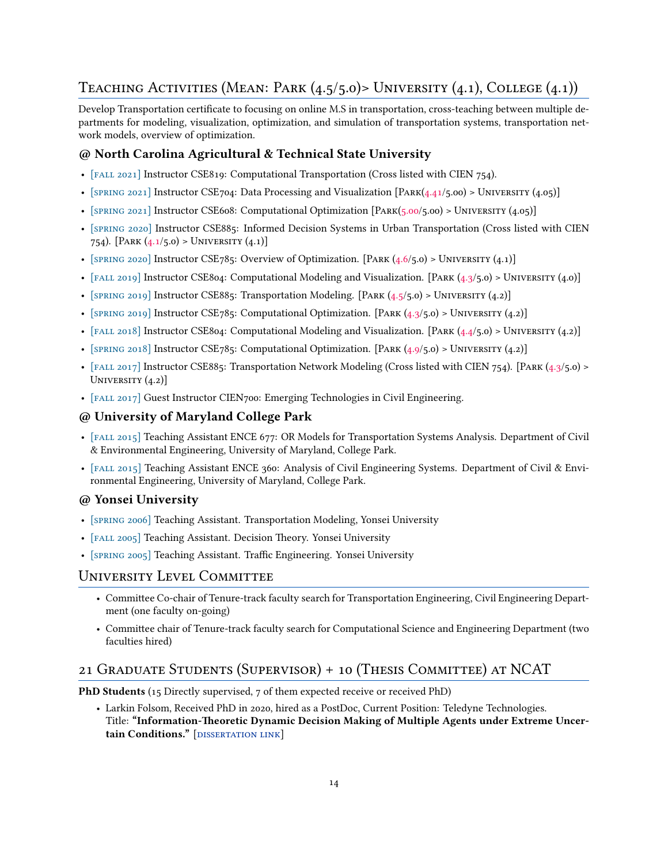## TEACHING ACTIVITIES (MEAN: PARK  $(4.5/5.0)$ > UNIVERSITY  $(4.1)$ , COLLEGE  $(4.1)$ )

Develop Transportation certificate to focusing on online M.S in transportation, cross-teaching between multiple departments for modeling, visualization, optimization, and simulation of transportation systems, transportation network models, overview of optimization.

## **@ North Carolina Agricultural & Technical State University**

- [FALL 2021] Instructor CSE819: Computational Transportation (Cross listed with CIEN 754).
- [SPRING 2021] Instructor CSE704: Data Processing and Visualization [PARK(4.41/5.00) > UNIVERSITY (4.05)]
- [SPRING 2021] Instructor CSE608: Computational Optimization [PARK(5.00/5.00) > UNIVERSITY (4.05)]
- [spRing 2020] Instructor CSE885: Informed Decision Systems in Urban Transportation (Cross listed with CIEN 754). [PARK  $(4.1/5.0)$  > UNIVERSITY  $(4.1)$ ]
- [SPRING 2020] Instructor CSE785: Overview of Optimization. [PARK  $(4.6/5.0)$  > UNIVERSITY  $(4.1)$ ]
- [FALL 2019] Instructor CSE804: Computational Modeling and Visualization. [PARK  $(4.3/5.0)$  > UNIVERSITY  $(4.0)$ ]
- [SPRING 2019] Instructor CSE885: Transportation Modeling. [PARK  $(4.5/5.0)$  > UNIVERSITY  $(4.2)$ ]
- [SPRING 2019] Instructor CSE785: Computational Optimization. [PARK  $(4.3/5.0)$  > UNIVERSITY  $(4.2)$ ]
- [FALL 2018] Instructor CSE804: Computational Modeling and Visualization. [PARK  $(4.4/5.0)$  > UNIVERSITY  $(4.2)$ ]
- [SPRING 2018] Instructor CSE785: Computational Optimization. [PARK  $(4.9/5.0)$  > UNIVERSITY  $(4.2)$ ]
- [FALL 2017] Instructor CSE885: Transportation Network Modeling (Cross listed with CIEN 754). [PARK (4.3/5.0) > UNIVERSITY  $(4.2)$ ]
- [fall 2017] Guest Instructor CIEN700: Emerging Technologies in Civil Engineering.

## **@ University of Maryland College Park**

- [fall 2015] Teaching Assistant ENCE 677: OR Models for Transportation Systems Analysis. Department of Civil & Environmental Engineering, University of Maryland, College Park.
- [fall 2015] Teaching Assistant ENCE 360: Analysis of Civil Engineering Systems. Department of Civil & Environmental Engineering, University of Maryland, College Park.

## **@ Yonsei University**

- [spRing 2006] Teaching Assistant. Transportation Modeling, Yonsei University
- [FALL 2005] Teaching Assistant. Decision Theory. Yonsei University
- [spRing 2005] Teaching Assistant. Traffic Engineering. Yonsei University

## UniveRsity Level Committee

- Committee Co-chair of Tenure-track faculty search for Transportation Engineering, Civil Engineering Department (one faculty on-going)
- Committee chair of Tenure-track faculty search for Computational Science and Engineering Department (two faculties hired)

## 21 GRaduate Students (SupeRvisoR) + 10 (Thesis Committee) at NCAT

**PhD Students** (15 Directly supervised, 7 of them expected receive or received PhD)

• Larkin Folsom, Received PhD in 2020, hired as a PostDoc, Current Position: Teledyne Technologies. Title: **"Information-Theoretic Dynamic Decision Making of Multiple Agents under Extreme Uncer**tain Conditions." [DISSERTATION LINK]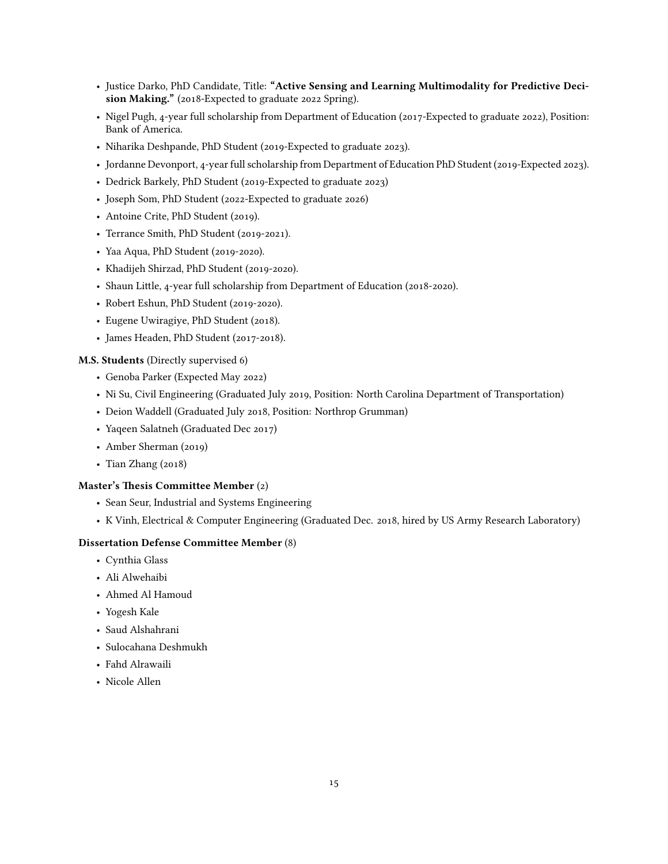- Justice Darko, PhD Candidate, Title: **"Active Sensing and Learning Multimodality for Predictive Decision Making."** (2018-Expected to graduate 2022 Spring).
- Nigel Pugh, 4-year full scholarship from Department of Education (2017-Expected to graduate 2022), Position: Bank of America.
- Niharika Deshpande, PhD Student (2019-Expected to graduate 2023).
- Jordanne Devonport, 4-year full scholarship from Department of Education PhD Student (2019-Expected 2023).
- Dedrick Barkely, PhD Student (2019-Expected to graduate 2023)
- Joseph Som, PhD Student (2022-Expected to graduate 2026)
- Antoine Crite, PhD Student (2019).
- Terrance Smith, PhD Student (2019-2021).
- Yaa Aqua, PhD Student (2019-2020).
- Khadijeh Shirzad, PhD Student (2019-2020).
- Shaun Little, 4-year full scholarship from Department of Education (2018-2020).
- Robert Eshun, PhD Student (2019-2020).
- Eugene Uwiragiye, PhD Student (2018).
- James Headen, PhD Student (2017-2018).

#### **M.S. Students** (Directly supervised 6)

- Genoba Parker (Expected May 2022)
- Ni Su, Civil Engineering (Graduated July 2019, Position: North Carolina Department of Transportation)
- Deion Waddell (Graduated July 2018, Position: Northrop Grumman)
- Yaqeen Salatneh (Graduated Dec 2017)
- Amber Sherman (2019)
- Tian Zhang (2018)

#### **Master's Thesis Committee Member** (2)

- Sean Seur, Industrial and Systems Engineering
- K Vinh, Electrical & Computer Engineering (Graduated Dec. 2018, hired by US Army Research Laboratory)

#### **Dissertation Defense Committee Member** (8)

- Cynthia Glass
- Ali Alwehaibi
- Ahmed Al Hamoud
- Yogesh Kale
- Saud Alshahrani
- Sulocahana Deshmukh
- Fahd Alrawaili
- Nicole Allen